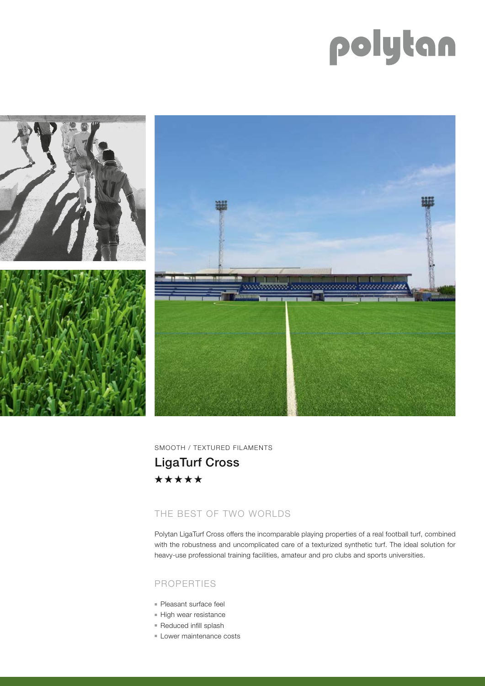# polytan



SMOOTH / TEXTURED FILAMENTS LigaTurf Cross\*\*\*\*\*

## THE BEST OF TWO WORLDS

Polytan LigaTurf Cross offers the incomparable playing properties of a real football turf, combined with the robustness and uncomplicated care of a texturized synthetic turf. The ideal solution for heavy-use professional training facilities, amateur and pro clubs and sports universities.

#### PROPERTIES

- Pleasant surface feel
- High wear resistance
- Reduced infill splash
- Lower maintenance costs